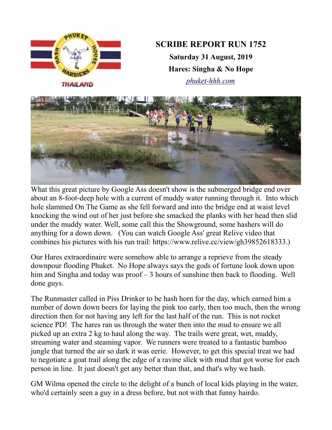

What this great picture by Google Ass doesn't show is the submerged bridge end over about an 8-foot-deep hole with a current of muddy water running through it. Into which hole slammed On The Game as she fell forward and into the bridge end at waist level knocking the wind out of her just before she smacked the planks with her head then slid under the muddy water. Well, some call this the Showground, some hashers will do anything for a down down. (You can watch Google Ass' great Relive video that combines his pictures with his run trail: https://www.relive.cc/view/gh39852618333.)

Our Hares extraordinaire were somehow able to arrange a reprieve from the steady downpour flooding Phuket. No Hope always says the gods of fortune look down upon him and Singha and today was proof – 3 hours of sunshine then back to flooding. Well done guys.

The Runmaster called in Piss Drinker to be hash horn for the day, which earned him a number of down down beers for laying the pink too early, then too much, then the wrong direction then for not having any left for the last half of the run. This is not rocket science PD! The hares ran us through the water then into the mud to ensure we all picked up an extra 2 kg to haul along the way. The trails were great, wet, muddy, streaming water and steaming vapor. We runners were treated to a fantastic bamboo jungle that turned the air so dark it was eerie. However, to get this special treat we had to negotiate a goat trail along the edge of a ravine slick with mud that got worse for each person in line. It just doesn't get any better than that, and that's why we hash.

GM Wilma opened the circle to the delight of a bunch of local kids playing in the water, who'd certainly seen a guy in a dress before, but not with that funny hairdo.